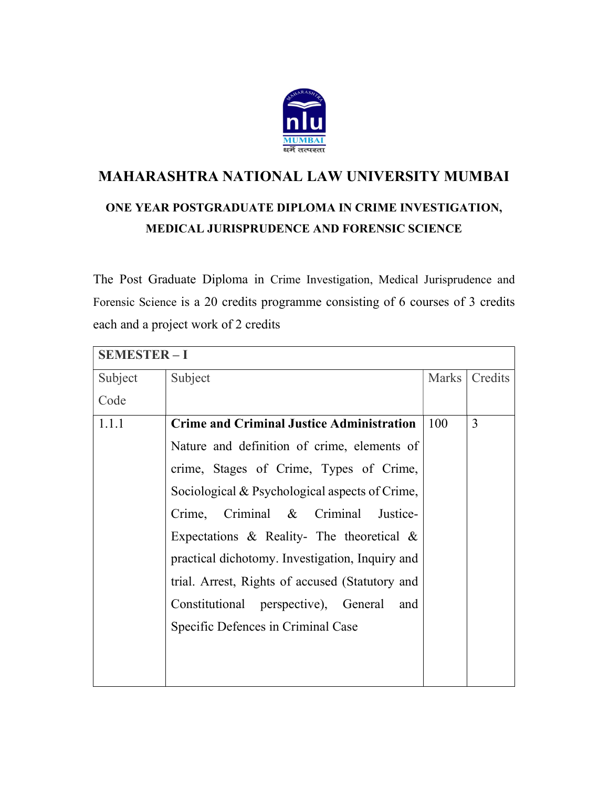

## MAHARASHTRA NATIONAL LAW UNIVERSITY MUMBAI

## ONE YEAR POSTGRADUATE DIPLOMA IN CRIME INVESTIGATION, MEDICAL JURISPRUDENCE AND FORENSIC SCIENCE

The Post Graduate Diploma in Crime Investigation, Medical Jurisprudence and Forensic Science is a 20 credits programme consisting of 6 courses of 3 credits each and a project work of 2 credits

| <b>SEMESTER-I</b> |                                                  |       |         |  |
|-------------------|--------------------------------------------------|-------|---------|--|
| Subject           | Subject                                          | Marks | Credits |  |
| Code              |                                                  |       |         |  |
| 1.1.1             | <b>Crime and Criminal Justice Administration</b> | 100   | 3       |  |
|                   | Nature and definition of crime, elements of      |       |         |  |
|                   | crime, Stages of Crime, Types of Crime,          |       |         |  |
|                   | Sociological & Psychological aspects of Crime,   |       |         |  |
|                   | Crime, Criminal & Criminal<br>Justice-           |       |         |  |
|                   | Expectations & Reality- The theoretical $\&$     |       |         |  |
|                   | practical dichotomy. Investigation, Inquiry and  |       |         |  |
|                   | trial. Arrest, Rights of accused (Statutory and  |       |         |  |
|                   | Constitutional perspective), General<br>and      |       |         |  |
|                   | Specific Defences in Criminal Case               |       |         |  |
|                   |                                                  |       |         |  |
|                   |                                                  |       |         |  |
|                   |                                                  |       |         |  |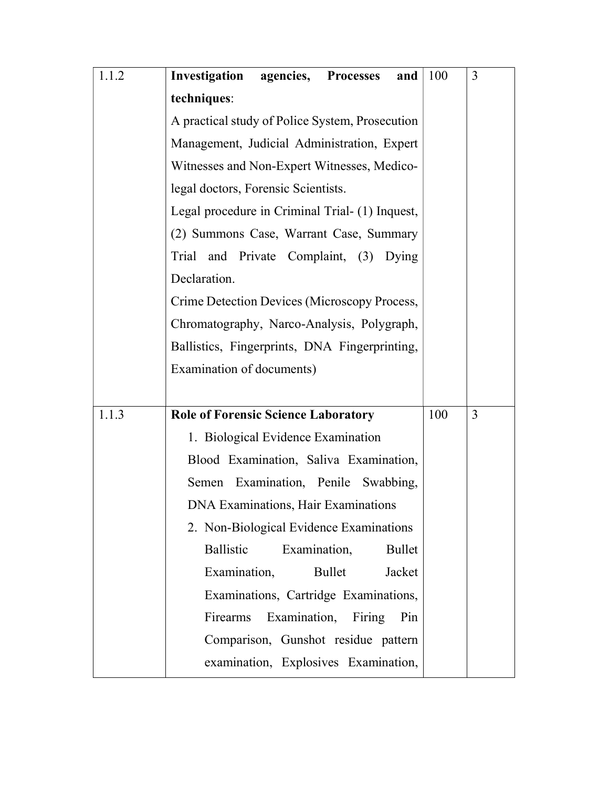| 1.1.2 | <b>Investigation agencies, Processes</b><br>and                                                                      | 100 | 3 |
|-------|----------------------------------------------------------------------------------------------------------------------|-----|---|
|       | techniques:                                                                                                          |     |   |
|       | A practical study of Police System, Prosecution<br>Management, Judicial Administration, Expert                       |     |   |
|       |                                                                                                                      |     |   |
|       | Witnesses and Non-Expert Witnesses, Medico-                                                                          |     |   |
|       | legal doctors, Forensic Scientists.                                                                                  |     |   |
|       | Legal procedure in Criminal Trial- (1) Inquest,                                                                      |     |   |
|       | (2) Summons Case, Warrant Case, Summary                                                                              |     |   |
|       | Trial and Private Complaint, (3) Dying                                                                               |     |   |
|       | Declaration.                                                                                                         |     |   |
|       | Crime Detection Devices (Microscopy Process,                                                                         |     |   |
|       | Chromatography, Narco-Analysis, Polygraph,                                                                           |     |   |
|       | Ballistics, Fingerprints, DNA Fingerprinting,                                                                        |     |   |
|       | Examination of documents)                                                                                            |     |   |
|       |                                                                                                                      |     |   |
| 1.1.3 | <b>Role of Forensic Science Laboratory</b>                                                                           | 100 | 3 |
|       | 1. Biological Evidence Examination                                                                                   |     |   |
|       | Blood Examination, Saliva Examination,<br>Semen Examination, Penile Swabbing,<br>DNA Examinations, Hair Examinations |     |   |
|       |                                                                                                                      |     |   |
|       |                                                                                                                      |     |   |
|       | 2. Non-Biological Evidence Examinations                                                                              |     |   |
|       | Ballistic<br>Examination,<br>Bullet                                                                                  |     |   |
|       | Examination,<br>Jacket<br>Bullet                                                                                     |     |   |
|       | Examinations, Cartridge Examinations,                                                                                |     |   |
|       | Examination,<br>Firearms<br>Firing<br>Pin                                                                            |     |   |
|       | Comparison, Gunshot residue pattern                                                                                  |     |   |
|       | examination, Explosives Examination,                                                                                 |     |   |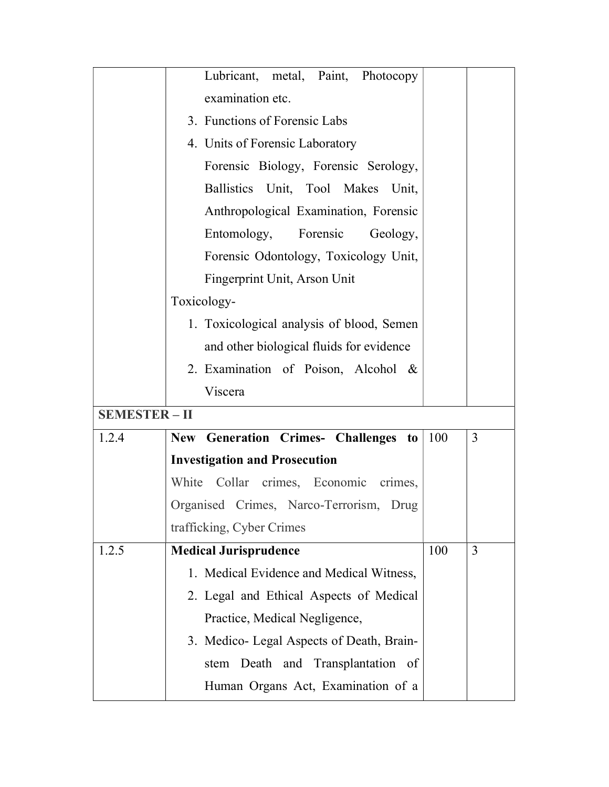|                      | Lubricant, metal, Paint, Photocopy        |     |   |
|----------------------|-------------------------------------------|-----|---|
|                      | examination etc.                          |     |   |
|                      | 3. Functions of Forensic Labs             |     |   |
|                      | 4. Units of Forensic Laboratory           |     |   |
|                      | Forensic Biology, Forensic Serology,      |     |   |
|                      | Ballistics Unit, Tool Makes Unit,         |     |   |
|                      | Anthropological Examination, Forensic     |     |   |
|                      | Entomology, Forensic<br>Geology,          |     |   |
|                      | Forensic Odontology, Toxicology Unit,     |     |   |
|                      | Fingerprint Unit, Arson Unit              |     |   |
|                      | Toxicology-                               |     |   |
|                      | 1. Toxicological analysis of blood, Semen |     |   |
|                      | and other biological fluids for evidence  |     |   |
|                      | 2. Examination of Poison, Alcohol &       |     |   |
|                      | Viscera                                   |     |   |
| <b>SEMESTER - II</b> |                                           |     |   |
| 1.2.4                | New Generation Crimes- Challenges to      | 100 | 3 |
|                      | <b>Investigation and Prosecution</b>      |     |   |
|                      | Collar crimes, Economic crimes,<br>White  |     |   |
|                      | Organised Crimes, Narco-Terrorism, Drug   |     |   |
|                      | trafficking, Cyber Crimes                 |     |   |
| 1.2.5                | <b>Medical Jurisprudence</b>              | 100 | 3 |
|                      | 1. Medical Evidence and Medical Witness,  |     |   |
|                      | 2. Legal and Ethical Aspects of Medical   |     |   |
|                      | Practice, Medical Negligence,             |     |   |
|                      |                                           |     |   |
|                      | 3. Medico- Legal Aspects of Death, Brain- |     |   |
|                      | stem Death and Transplantation of         |     |   |